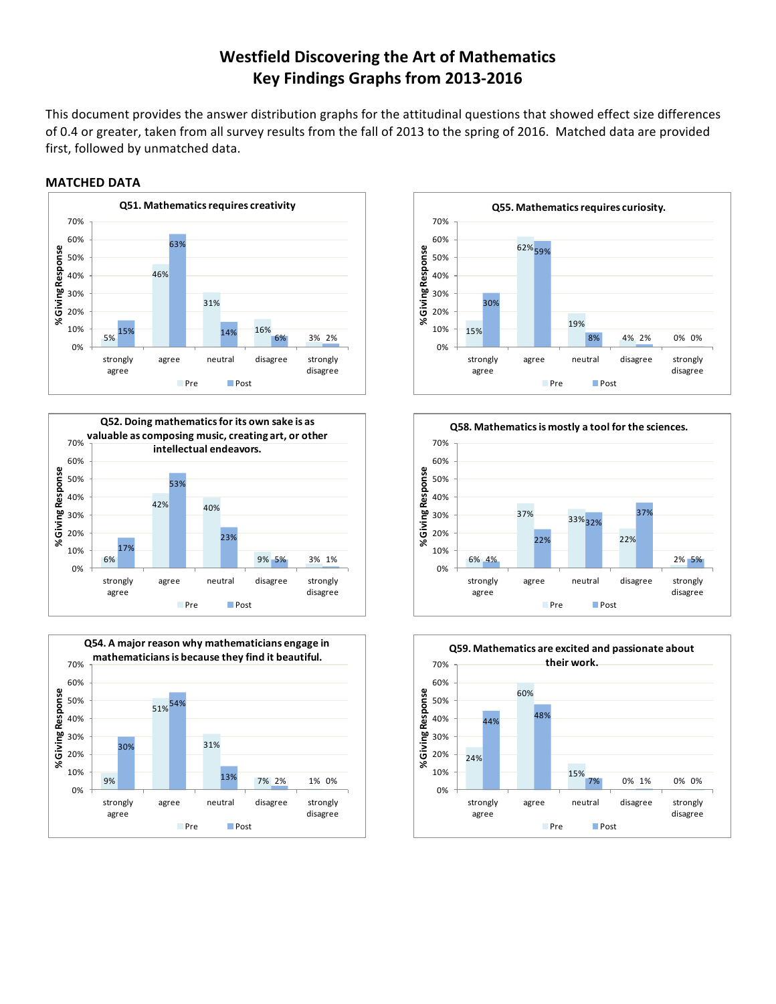## **Westfield Discovering the Art of Mathematics Key Findings Graphs from 2013-2016**

This document provides the answer distribution graphs for the attitudinal questions that showed effect size differences of 0.4 or greater, taken from all survey results from the fall of 2013 to the spring of 2016. Matched data are provided first, followed by unmatched data.

## **MATCHED DATA**











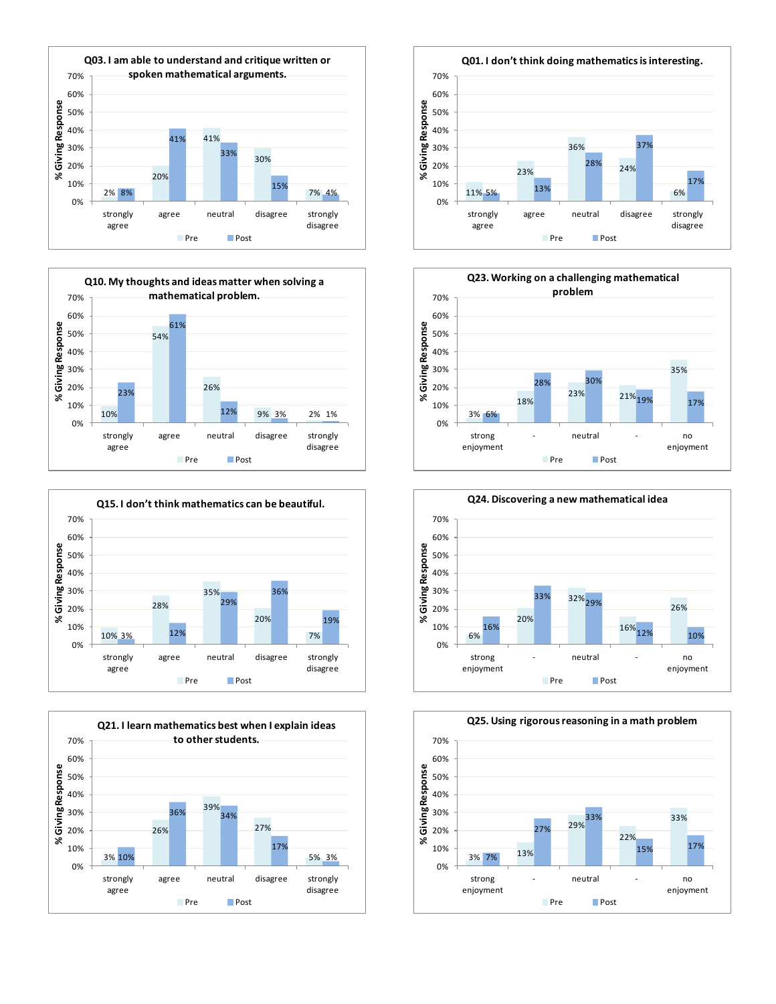













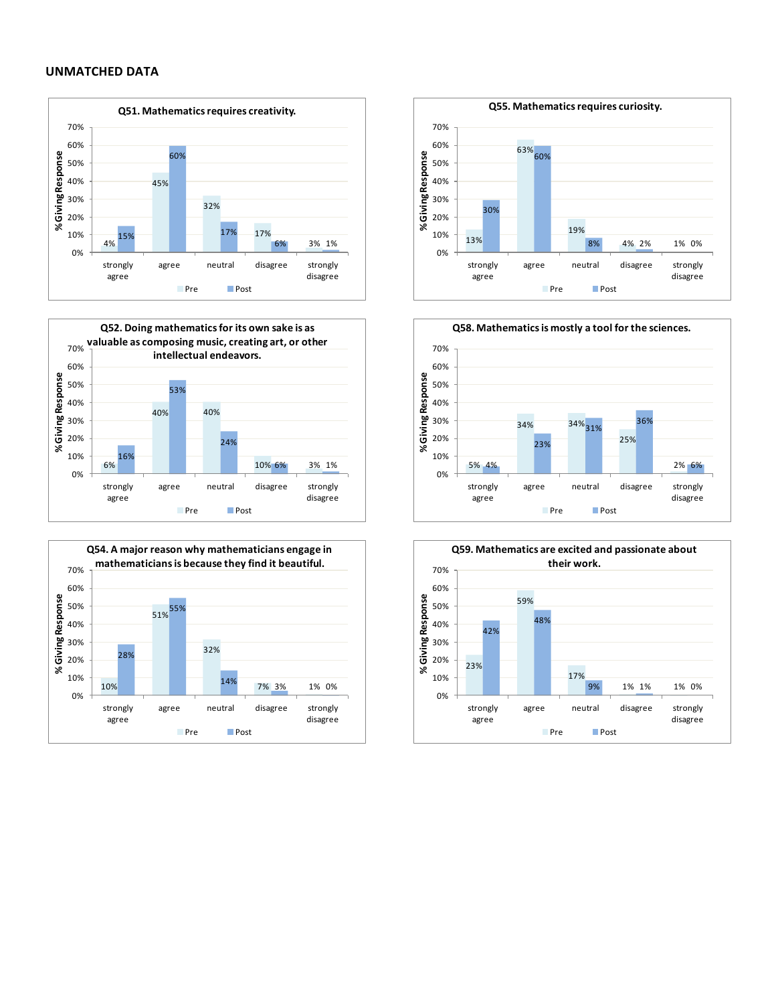## **UNMATCHED DATA**